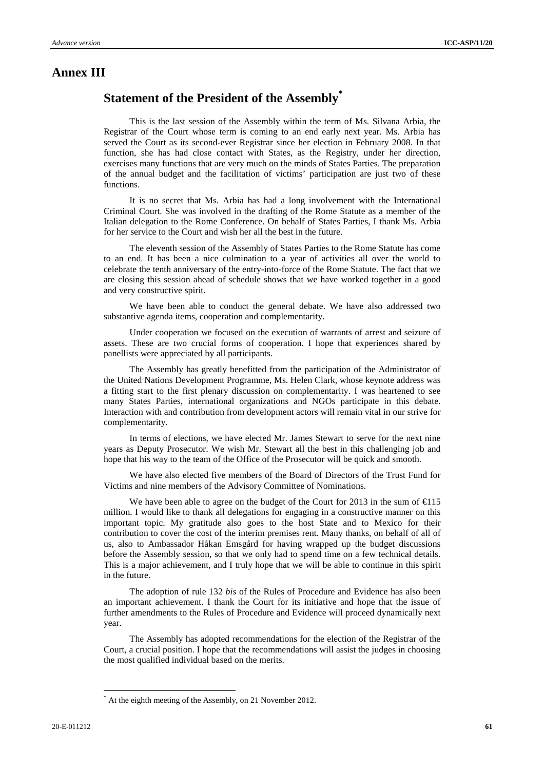## **Annex III**

## **Statement of the President of the Assembly\***

This is the last session of the Assembly within the term of Ms. Silvana Arbia, the Registrar of the Court whose term is coming to an end early next year. Ms. Arbia has served the Court as its second-ever Registrar since her election in February 2008. In that function, she has had close contact with States, as the Registry, under her direction, exercises many functions that are very much on the minds of States Parties. The preparation of the annual budget and the facilitation of victims' participation are just two of these functions.

It is no secret that Ms. Arbia has had a long involvement with the International Criminal Court. She was involved in the drafting of the Rome Statute as a member of the Italian delegation to the Rome Conference. On behalf of States Parties, I thank Ms. Arbia for her service to the Court and wish her all the best in the future.

The eleventh session of the Assembly of States Parties to the Rome Statute has come to an end. It has been a nice culmination to a year of activities all over the world to celebrate the tenth anniversary of the entry-into-force of the Rome Statute. The fact that we are closing this session ahead of schedule shows that we have worked together in a good and very constructive spirit.

We have been able to conduct the general debate. We have also addressed two substantive agenda items, cooperation and complementarity.

Under cooperation we focused on the execution of warrants of arrest and seizure of assets. These are two crucial forms of cooperation. I hope that experiences shared by panellists were appreciated by all participants.

The Assembly has greatly benefitted from the participation of the Administrator of the United Nations Development Programme, Ms. Helen Clark, whose keynote address was a fitting start to the first plenary discussion on complementarity. I was heartened to see many States Parties, international organizations and NGOs participate in this debate. Interaction with and contribution from development actors will remain vital in our strive for complementarity.

In terms of elections, we have elected Mr. James Stewart to serve for the next nine years as Deputy Prosecutor. We wish Mr. Stewart all the best in this challenging job and hope that his way to the team of the Office of the Prosecutor will be quick and smooth.

We have also elected five members of the Board of Directors of the Trust Fund for Victims and nine members of the Advisory Committee of Nominations.

We have been able to agree on the budget of the Court for 2013 in the sum of  $\epsilon$ 115 million. I would like to thank all delegations for engaging in a constructive manner on this important topic. My gratitude also goes to the host State and to Mexico for their contribution to cover the cost of the interim premises rent. Many thanks, on behalf of all of us, also to Ambassador Håkan Emsgård for having wrapped up the budget discussions before the Assembly session, so that we only had to spend time on a few technical details. This is a major achievement, and I truly hope that we will be able to continue in this spirit in the future.

The adoption of rule 132 *bis* of the Rules of Procedure and Evidence has also been an important achievement. I thank the Court for its initiative and hope that the issue of further amendments to the Rules of Procedure and Evidence will proceed dynamically next year.

The Assembly has adopted recommendations for the election of the Registrar of the Court, a crucial position. I hope that the recommendations will assist the judges in choosing the most qualified individual based on the merits.

 $\overline{a}$ 

<sup>\*</sup> At the eighth meeting of the Assembly, on 21 November 2012.